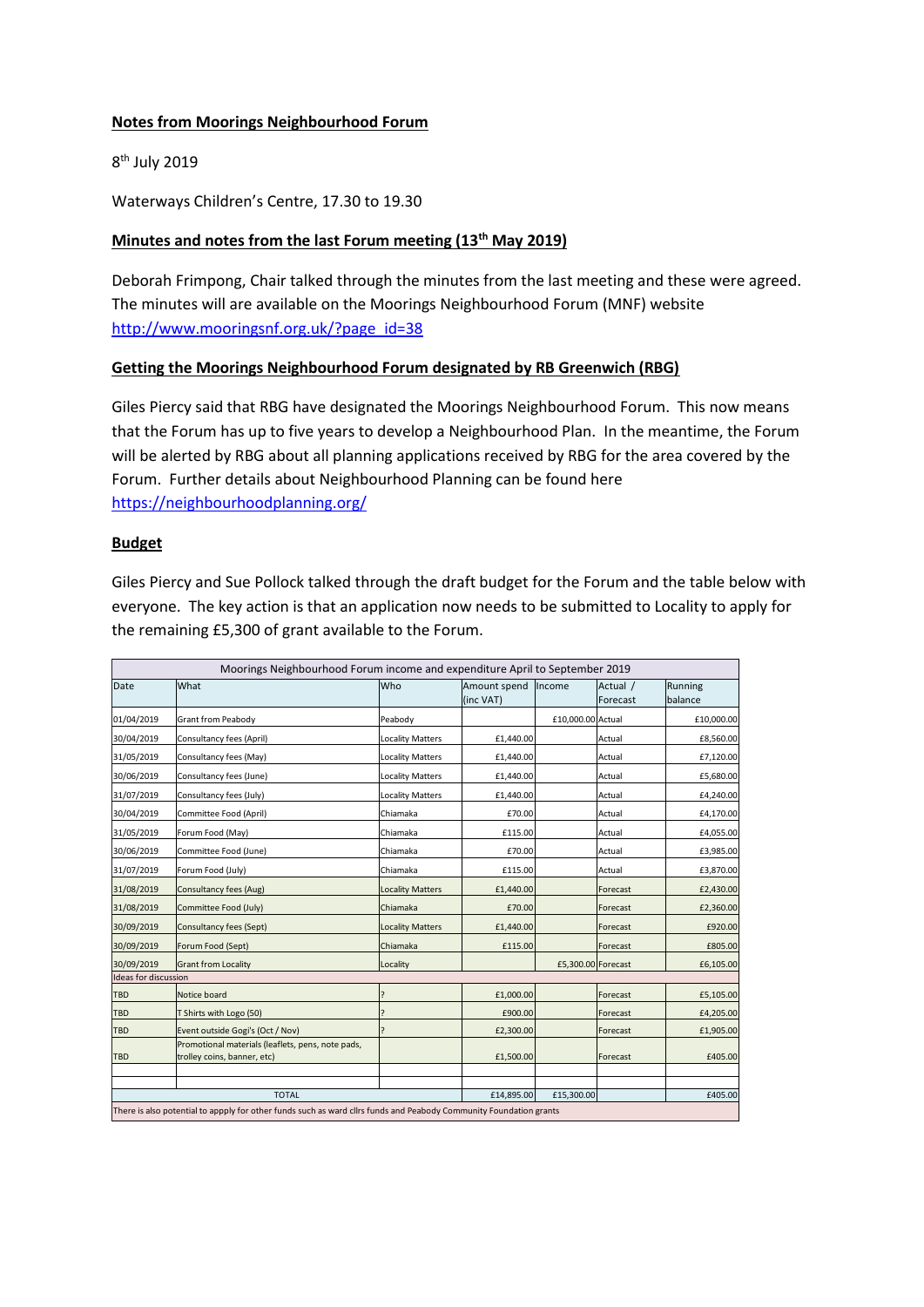#### **Notes from Moorings Neighbourhood Forum**

8<sup>th</sup> July 2019

Waterways Children's Centre, 17.30 to 19.30

## **Minutes and notes from the last Forum meeting (13 th May 2019)**

Deborah Frimpong, Chair talked through the minutes from the last meeting and these were agreed. The minutes will are available on the Moorings Neighbourhood Forum (MNF) website [http://www.mooringsnf.org.uk/?page\\_id=38](http://www.mooringsnf.org.uk/?page_id=38)

## **Getting the Moorings Neighbourhood Forum designated by RB Greenwich (RBG)**

Giles Piercy said that RBG have designated the Moorings Neighbourhood Forum. This now means that the Forum has up to five years to develop a Neighbourhood Plan. In the meantime, the Forum will be alerted by RBG about all planning applications received by RBG for the area covered by the Forum. Further details about Neighbourhood Planning can be found here <https://neighbourhoodplanning.org/>

## **Budget**

Giles Piercy and Sue Pollock talked through the draft budget for the Forum and the table below with everyone. The key action is that an application now needs to be submitted to Locality to apply for the remaining £5,300 of grant available to the Forum.

| Moorings Neighbourhood Forum income and expenditure April to September 2019                                        |                                                                                  |                         |              |                    |          |            |
|--------------------------------------------------------------------------------------------------------------------|----------------------------------------------------------------------------------|-------------------------|--------------|--------------------|----------|------------|
| Date                                                                                                               | What                                                                             | Who                     | Amount spend | lincome            | Actual / | Running    |
|                                                                                                                    |                                                                                  |                         | (inc VAT)    |                    | Forecast | balance    |
| 01/04/2019                                                                                                         | Grant from Peabody                                                               | Peabody                 |              | £10,000.00 Actual  |          | £10,000.00 |
| 30/04/2019                                                                                                         | Consultancy fees (April)                                                         | <b>Locality Matters</b> | £1,440.00    |                    | Actual   | £8,560.00  |
| 31/05/2019                                                                                                         | Consultancy fees (May)                                                           | <b>Locality Matters</b> | £1,440.00    |                    | Actual   | £7,120.00  |
| 30/06/2019                                                                                                         | Consultancy fees (June)                                                          | <b>Locality Matters</b> | £1,440.00    |                    | Actual   | £5,680.00  |
| 31/07/2019                                                                                                         | Consultancy fees (July)                                                          | <b>Locality Matters</b> | £1,440.00    |                    | Actual   | £4,240.00  |
| 30/04/2019                                                                                                         | Committee Food (April)                                                           | Chiamaka                | £70.00       |                    | Actual   | £4,170.00  |
| 31/05/2019                                                                                                         | Forum Food (May)                                                                 | Chiamaka                | £115.00      |                    | Actual   | £4,055.00  |
| 30/06/2019                                                                                                         | Committee Food (June)                                                            | Chiamaka                | £70.00       |                    | Actual   | £3,985.00  |
| 31/07/2019                                                                                                         | Forum Food (July)                                                                | Chiamaka                | £115.00      |                    | Actual   | £3,870.00  |
| 31/08/2019                                                                                                         | Consultancy fees (Aug)                                                           | <b>Locality Matters</b> | £1,440.00    |                    | Forecast | £2,430.00  |
| 31/08/2019                                                                                                         | Committee Food (July)                                                            | Chiamaka                | £70.00       |                    | Forecast | £2,360.00  |
| 30/09/2019                                                                                                         | <b>Consultancy fees (Sept)</b>                                                   | <b>Locality Matters</b> | £1,440.00    |                    | Forecast | £920.00    |
| 30/09/2019                                                                                                         | Forum Food (Sept)                                                                | Chiamaka                | £115.00      |                    | Forecast | £805.00    |
| 30/09/2019                                                                                                         | <b>Grant from Locality</b>                                                       | Locality                |              | £5.300.00 Forecast |          | £6,105.00  |
| Ideas for discussion                                                                                               |                                                                                  |                         |              |                    |          |            |
| <b>TBD</b>                                                                                                         | Notice board                                                                     | ς                       | £1,000.00    |                    | Forecast | £5,105.00  |
| <b>TBD</b>                                                                                                         | T Shirts with Logo (50)                                                          | ς                       | £900.00      |                    | Forecast | £4,205.00  |
| <b>TBD</b>                                                                                                         | Event outside Gogi's (Oct / Nov)                                                 |                         | £2,300.00    |                    | Forecast | £1,905.00  |
| <b>TBD</b>                                                                                                         | Promotional materials (leaflets, pens, note pads,<br>trolley coins, banner, etc) |                         | £1,500.00    |                    | Forecast | £405.00    |
|                                                                                                                    |                                                                                  |                         |              |                    |          |            |
| <b>TOTAL</b>                                                                                                       |                                                                                  |                         | £14,895.00   | £15,300.00         |          | £405.00    |
| There is also potential to appply for other funds such as ward cllrs funds and Peabody Community Foundation grants |                                                                                  |                         |              |                    |          |            |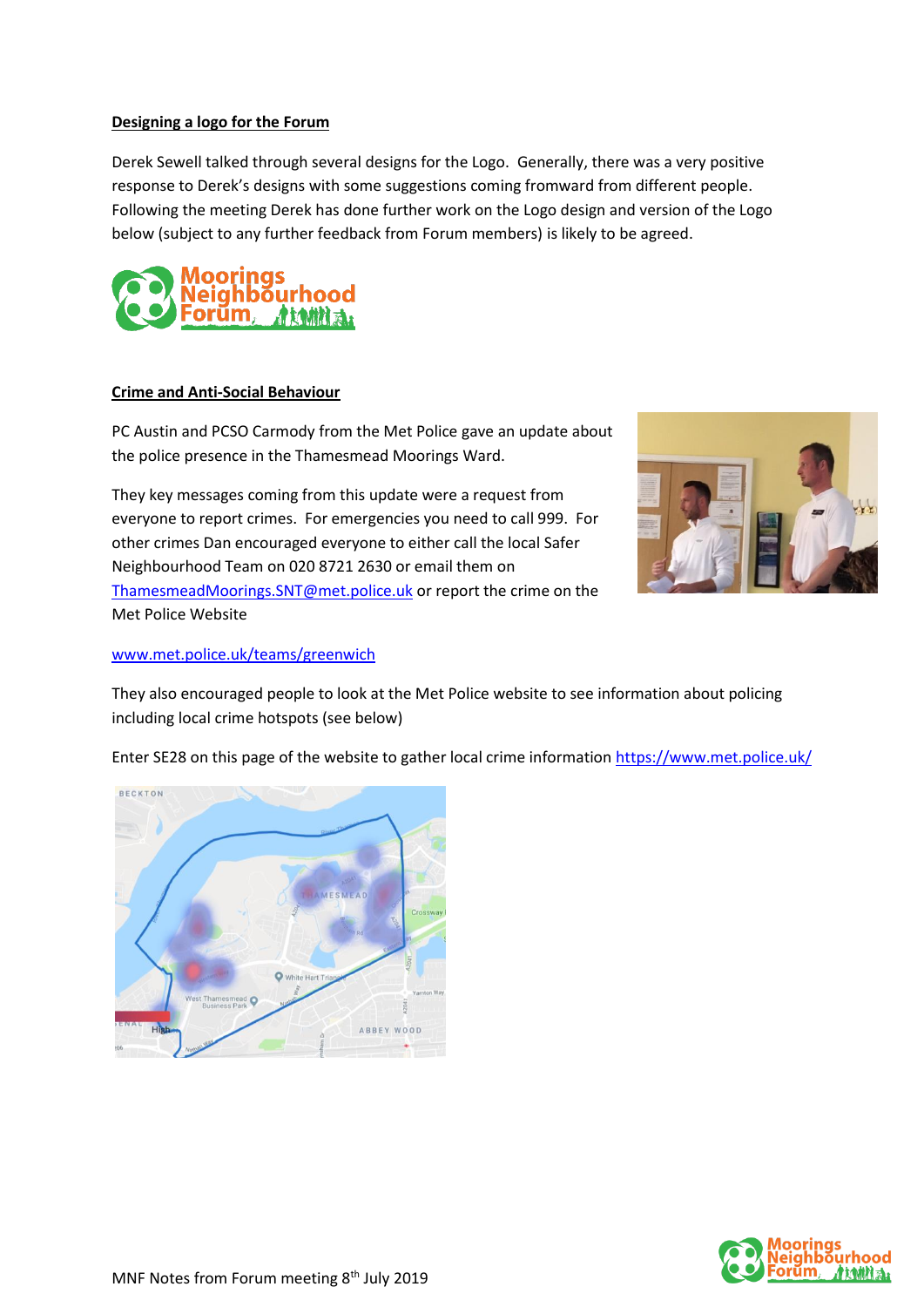## **Designing a logo for the Forum**

Derek Sewell talked through several designs for the Logo. Generally, there was a very positive response to Derek's designs with some suggestions coming fromward from different people. Following the meeting Derek has done further work on the Logo design and version of the Logo below (subject to any further feedback from Forum members) is likely to be agreed.



#### **Crime and Anti-Social Behaviour**

PC Austin and PCSO Carmody from the Met Police gave an update about the police presence in the Thamesmead Moorings Ward.

They key messages coming from this update were a request from everyone to report crimes. For emergencies you need to call 999. For other crimes Dan encouraged everyone to either call the local Safer Neighbourhood Team on 020 8721 2630 or email them on [ThamesmeadMoorings.SNT@met.police.uk](mailto:ThamesmeadMoorings.SNT@met.police.uk) or report the crime on the Met Police Website



#### [www.met.police.uk/teams/greenwich](http://www.met.police.uk/teams/greenwich)

They also encouraged people to look at the Met Police website to see information about policing including local crime hotspots (see below)

Enter SE28 on this page of the website to gather local crime information <https://www.met.police.uk/>